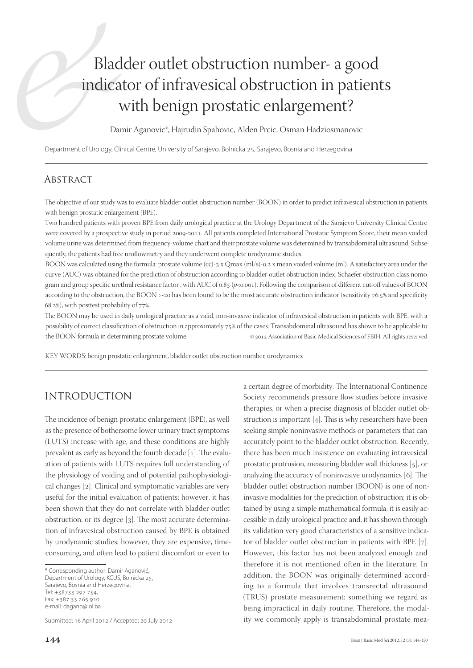# Bladder outlet obstruction number- a good indicator of infravesical obstruction in patients with benign prostatic enlargement?

Damir Aganovic\*, Hajrudin Spahovic, Alden Prcic, Osman Hadziosmanovic

Department of Urology, Clinical Centre, University of Sarajevo, Bolnicka 25, Sarajevo, Bosnia and Herzegovina

### **ABSTRACT**

The objective of our study was to evaluate bladder outlet obstruction number (BOON) in order to predict infravesical obstruction in patients with benign prostatic enlargement (BPE).

Two hundred patients with proven BPE from daily urological practice at the Urology Department of the Sarajevo University Clinical Centre were covered by a prospective study in period 2009-2011. All patients completed International Prostatic Symptom Score, their mean voided volume urine was determined from frequency-volume chart and their prostate volume was determined by transabdominal ultrasound. Subsequently, the patients had free uroflowmetry and they underwent complete urodynamic studies.

BOON was calculated using the formula: prostate volume (cc)-3 x Qmax (ml/s)-0.2 x mean voided volume (ml). A satisfactory area under the curve (AUC) was obtained for the prediction of obstruction according to bladder outlet obstruction index, Schaefer obstruction class nomogram and group specific urethral resistance factor, with AUC of 0.83 ( $p<0.001$ ). Following the comparison of different cut-off values of BOON according to the obstruction, the BOON >-20 has been found to be the most accurate obstruction indicator (sensitivity 76.5% and specificity  $(68.2%)$ , with posttest probability of  $77%$ .

The BOON may be used in daily urological practice as a valid, non-invasive indicator of infravesical obstruction in patients with BPE, with a possibility of correct classification of obstruction in approximately 75% of the cases. Transabdominal ultrasound has shown to be applicable to the BOON formula in determining prostate volume.  $\otimes$  2012 Association of Basic Medical Sciences of FBIH. All rights reserved

KEY WORDS: benign prostatic enlargement, bladder outlet obstruction number, urodynamics

## INTRODUCTION

The incidence of benign prostatic enlargement (BPE), as well as the presence of bothersome lower urinary tract symptoms (LUTS) increase with age, and these conditions are highly prevalent as early as beyond the fourth decade  $[1]$ . The evaluation of patients with LUTS requires full understanding of the physiology of voiding and of potential pathophysiological changes [2]. Clinical and symptomatic variables are very useful for the initial evaluation of patients; however, it has been shown that they do not correlate with bladder outlet obstruction, or its degree  $[3]$ . The most accurate determination of infravesical obstruction caused by BPE is obtained by urodynamic studies; however, they are expensive, timeconsuming, and often lead to patient discomfort or even to

Submitted: 16 April 2012 / Accepted: 20 July 2012

a certain degree of morbidity. The International Continence Society recommends pressure flow studies before invasive therapies, or when a precise diagnosis of bladder outlet obstruction is important  $[4]$ . This is why researchers have been seeking simple noninvasive methods or parameters that can accurately point to the bladder outlet obstruction. Recently, there has been much insistence on evaluating intravesical prostatic protrusion, measuring bladder wall thickness [5], or analyzing the accuracy of noninvasive urodynamics  $[6]$ . The bladder outlet obstruction number (BOON) is one of noninvasive modalities for the prediction of obstruction; it is obtained by using a simple mathematical formula; it is easily accessible in daily urological practice and, it has shown through its validation very good characteristics of a sensitive indicator of bladder outlet obstruction in patients with BPE  $[7]$ . However, this factor has not been analyzed enough and therefore it is not mentioned often in the literature. In addition, the BOON was originally determined according to a formula that involves transrectal ultrasound (TRUS) prostate measurement; something we regard as being impractical in daily routine. Therefore, the modality we commonly apply is transabdominal prostate mea-

<sup>\*</sup> Corresponding author: Damir Aganović, Department of Urology, KCUS, Bolnicka 25, Sarajevo, Bosnia and Herzegovina, Tel: +38733 297 754, Fax: +387 33 265 910 e-mail: dagano@lol.ba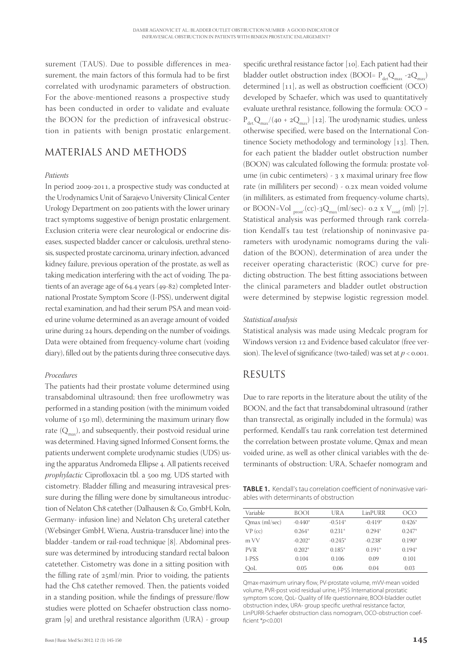surement (TAUS). Due to possible differences in measurement, the main factors of this formula had to be first correlated with urodynamic parameters of obstruction. For the above-mentioned reasons a prospective study has been conducted in order to validate and evaluate the BOON for the prediction of infravesical obstruction in patients with benign prostatic enlargement.

## MATERIALS AND METHODS

#### *Patients*

In period 2009-2011, a prospective study was conducted at the Urodynamics Unit of Sarajevo University Clinical Center Urology Department on 200 patients with the lower urinary tract symptoms suggestive of benign prostatic enlargement. Exclusion criteria were clear neurological or endocrine diseases, suspected bladder cancer or calculosis, urethral stenosis, suspected prostate carcinoma, urinary infection, advanced kidney failure, previous operation of the prostate, as well as taking medication interfering with the act of voiding. The patients of an average age of 64.4 years  $(49-82)$  completed International Prostate Symptom Score (I-PSS), underwent digital rectal examination, and had their serum PSA and mean voided urine volume determined as an average amount of voided urine during 24 hours, depending on the number of voidings. Data were obtained from frequency-volume chart (voiding diary), filled out by the patients during three consecutive days.

#### *Procedures*

The patients had their prostate volume determined using transabdominal ultrasound; then free uroflowmetry was performed in a standing position (with the minimum voided volume of 150 ml), determining the maximum urinary flow rate  $(Q_{\text{max}})$ , and subsequently, their postvoid residual urine was determined. Having signed Informed Consent forms, the patients underwent complete urodynamic studies (UDS) using the apparatus Andromeda Ellipse 4. All patients received *prophylactic* Ciprofloxacin tbl. a 500 mg. UDS started with cistometry. Bladder filling and measuring intravesical pressure during the filling were done by simultaneous introduction of Nelaton Ch8 catether (Dalhausen & Co, GmbH, Koln, Germany- infusion line) and Nelaton Ch5 ureteral catether (Websinger GmbH, Wiena, Austria-transducer line) into the bladder -tandem or rail-road technique [8]. Abdominal pressure was determined by introducing standard rectal baloon catetether. Cistometry was done in a sitting position with the filling rate of  $25$ ml/min. Prior to voiding, the patients had the Ch8 catether removed. Then, the patients voided in a standing position, while the findings of pressure/flow studies were plotted on Schaefer obstruction class nomogram [9] and urethral resistance algorithm (URA) - group

specific urethral resistance factor [10]. Each patient had their bladder outlet obstruction index (BOOI=  $P_{\text{det}}Q_{\text{max}}$  -2 $Q_{\text{max}}$ ) determined  $[11]$ , as well as obstruction coefficient (OCO) developed by Schaefer, which was used to quantitatively evaluate urethral resistance, following the formula: OCO =  $P_{\text{det}}Q_{\text{max}}/(40 + 2Q_{\text{max}})$  [12]. The urodynamic studies, unless otherwise specified, were based on the International Continence Society methodology and terminology  $[13]$ . Then, for each patient the bladder outlet obstruction number (BOON) was calculated following the formula: prostate volume (in cubic centimeters) -  $_3$  x maximal urinary free flow rate (in milliliters per second) - 0.2x mean voided volume (in milliliters, as estimated from frequency-volume charts), or BOON=Vol  $_{\text{prost}}(cc)$ -3 $Q_{\text{max}}(ml/sec)$ - 0.2 x  $V_{\text{void}}(ml)$  [7]. Statistical analysis was performed through rank correlation Kendall's tau test (relationship of noninvasive parameters with urodynamic nomograms during the validation of the BOON), determination of area under the receiver operating characteristic (ROC) curve for predicting obstruction. The best fitting associations between the clinical parameters and bladder outlet obstruction were determined by stepwise logistic regression model.

#### *Statistical analysis*

Statistical analysis was made using Medcalc program for Windows version 12 and Evidence based calculator (free version). The level of significance (two-tailed) was set at  $p < 0.001$ .

## RESULTS

Due to rare reports in the literature about the utility of the BOON, and the fact that transabdominal ultrasound (rather than transrectal, as originally included in the formula) was performed, Kendall's tau rank correlation test determined the correlation between prostate volume, Qmax and mean voided urine, as well as other clinical variables with the determinants of obstruction: URA, Schaefer nomogram and

**TABLE 1.** Kendall's tau correlation coefficient of noninvasive variables with determinants of obstruction

| Variable      | BOOI      | UR A      | LinPURR   | OCO      |
|---------------|-----------|-----------|-----------|----------|
| Qmax (ml/sec) | $-0.440*$ | $-0.514*$ | $-0.419*$ | $0.426*$ |
| $VP$ (cc)     | $0.264*$  | $0.231*$  | $0.294*$  | $0.247*$ |
| m VV          | $-0.202*$ | $-0.245*$ | $-0.238*$ | $0.190*$ |
| <b>PVR</b>    | $0.202*$  | $0.185*$  | $0.191*$  | $0.194*$ |
| L-PSS         | 0.104     | 0.106     | 0.09      | 0.101    |
| OoL           | 0.05      | 0.06      | 0.04      | 0.03     |

Qmax-maximum urinary flow, PV-prostate volume, mVV-mean voided volume, PVR-post void residual urine, I-PSS International prostatic symptom score, QoL- Quality of life questionnaire, BOOI-bladder outlet obstruction index, URA- group specific urethral resistance factor, LinPURR-Schaefer obstruction class nomogram, OCO-obstruction coeffi cient \**p*<0.001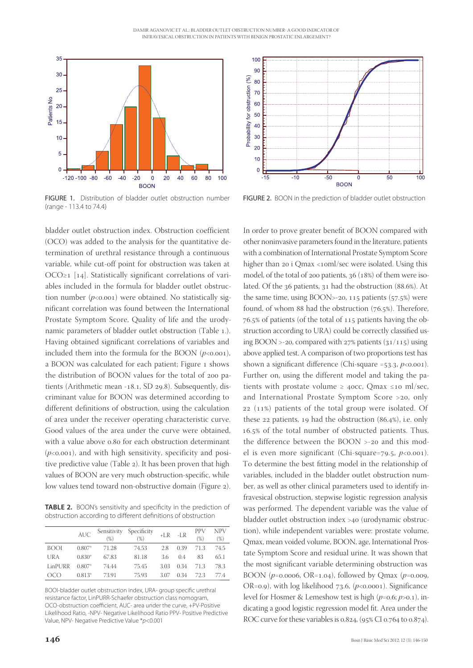

FIGURE 1. Distribution of bladder outlet obstruction number (range - 113.4 to 74.4)

bladder outlet obstruction index. Obstruction coefficient (OCO) was added to the analysis for the quantitative determination of urethral resistance through a continuous variable, while cut-off point for obstruction was taken at OCO≥1 [14]. Statistically significant correlations of variables included in the formula for bladder outlet obstruction number  $(p<0.001)$  were obtained. No statistically significant correlation was found between the International Prostate Symptom Score, Quality of life and the urodynamic parameters of bladder outlet obstruction (Table .). Having obtained significant correlations of variables and included them into the formula for the BOON  $(p<0.001)$ , a BOON was calculated for each patient; Figure 1 shows the distribution of BOON values for the total of 200 patients (Arithmetic mean -18.1, SD 29.8). Subsequently, discriminant value for BOON was determined according to different definitions of obstruction, using the calculation of area under the receiver operating characteristic curve. Good values of the area under the curve were obtained, with a value above 0.80 for each obstruction determinant  $(p<0.001)$ , and with high sensitivity, specificity and positive predictive value (Table 2). It has been proven that high values of BOON are very much obstruction-specific, while low values tend toward non-obstructive domain (Figure 2).

TABLE 2. BOON's sensitivity and specificity in the prediction of obstruction according to different definitions of obstruction

|             | <b>AUC</b> | Sensitivity<br>$(\%)$ | Specificity<br>$(\%)$ | $+LR$ | $-LR$ | PPV<br>(%) | <b>NPV</b><br>$(\%)$ |
|-------------|------------|-----------------------|-----------------------|-------|-------|------------|----------------------|
| <b>BOOI</b> | $0.807*$   | 71.28                 | 74.53                 | 2.8   | 0.39  | 71.3       | 74.5                 |
| URA         | $0.830*$   | 67.83                 | 81.18                 | 3.6   | 04    | 83         | 65.1                 |
| LinPURR     | $0.807*$   | 74.44                 | 75.45                 | 3.03  | 0.34  | 71.3       | 78.3                 |
| OCO         | $0.813*$   | 73.91                 | 75.93                 | 3.07  | 0.34  | 72.3       | 774                  |

BOOI-bladder outlet obstruction index, URA- group specific urethral resistance factor, LinPURR-Schaefer obstruction class nomogram, OCO-obstruction coefficient, AUC- area under the curve, +PV-Positive Likelihood Ratio, -NPV- Negative Likelihood Ratio PPV- Positive Predictive Value, NPV- Negative Predictive Value \**p*<0.001



FIGURE 2. BOON in the prediction of bladder outlet obstruction

In order to prove greater benefit of BOON compared with other noninvasive parameters found in the literature, patients with a combination of International Prostate Symptom Score higher than 20 i Qmax <10ml/sec were isolated. Using this model, of the total of 200 patients,  $36$  ( $18\%$ ) of them were isolated. Of the 36 patients, 31 had the obstruction (88.6%). At the same time, using  $BOON > -20$ , 115 patients  $(57.5%)$  were found, of whom  $88$  had the obstruction ( $76.5\%$ ). Therefore, 76.5% of patients (of the total of 115 patients having the obstruction according to URA) could be correctly classified using BOON >-20, compared with  $27\%$  patients  $(31/115)$  using above applied test. A comparison of two proportions test has shown a significant difference (Chi-square  $=53.3, p<0.001$ ). Further on, using the different model and taking the patients with prostate volume  $\geq$  40cc, Qmax ≤10 ml/sec, and International Prostate Symptom Score  $>$ 20, only  $22$  (11%) patients of the total group were isolated. Of these  $22$  patients,  $19$  had the obstruction (86.4%), i.e. only 16.5% of the total number of obstructed patients. Thus, the difference between the BOON >-20 and this model is even more significant (Chi-square=79.5,  $p \lt 0.001$ ). To determine the best fitting model in the relationship of variables, included in the bladder outlet obstruction number, as well as other clinical parameters used to identify infravesical obstruction, stepwise logistic regression analysis was performed. The dependent variable was the value of bladder outlet obstruction index >40 (urodynamic obstruction), while independent variables were: prostate volume, Qmax, mean voided volume, BOON, age, International Prostate Symptom Score and residual urine. It was shown that the most significant variable determining obstruction was BOON ( $p$ =0.0006, OR=1.04), followed by Qmax ( $p$ =0.009, OR=0.9), with log likelihood  $73.6$ , ( $p$ <0.0001). Significance level for Hosmer & Lemeshow test is high  $(p=0.6; p>0.1)$ , indicating a good logistic regression model fit. Area under the ROC curve for these variables is  $0.824$ , (95% CI  $0.764$  to  $0.874$ ).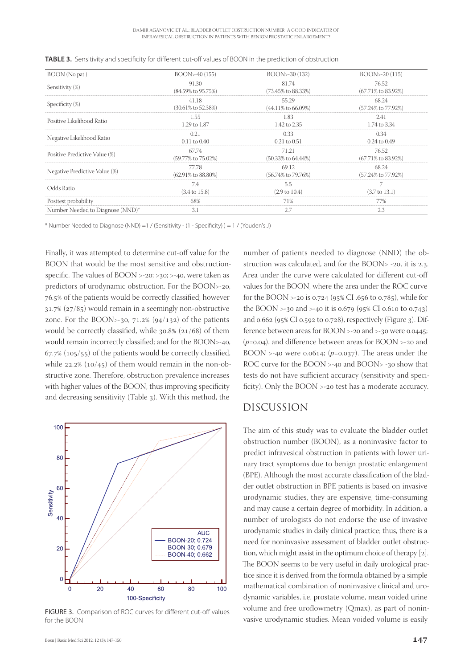| BOON (No pat.)                   | BOON>-40 (155)                  | BOON>-30 (132)                  | $B$ OON $>$ -20 $(115)$         |
|----------------------------------|---------------------------------|---------------------------------|---------------------------------|
| Sensitivity (%)                  | 91.30                           | 81.74                           | 76.52                           |
|                                  | $(84.59\% \text{ to } 95.75\%)$ | (73.45% to 88.33%)              | $(67.71\% \text{ to } 83.92\%)$ |
| Specificity (%)                  | 41.18                           | 55.29                           | 68.24                           |
|                                  | $(30.61\% \text{ to } 52.38\%)$ | $(44.11\% \text{ to } 66.09\%)$ | (57.24% to 77.92%)              |
| Positive Likelihood Ratio        | 1.55                            | 1.83                            | 2.41                            |
|                                  | 1.29 to 1.87                    | 1.42 to 2.35                    | 1.74 to 3.34                    |
| Negative Likelihood Ratio        | 0.21                            | 0.33                            | 0.34                            |
|                                  | $0.11$ to $0.40$                | $0.21$ to $0.51$                | $0.24$ to $0.49$                |
| Positive Predictive Value (%)    | 67.74                           | 71.21                           | 76.52                           |
|                                  | (59.77% to 75.02%)              | $(50.33\% \text{ to } 64.44\%)$ | $(67.71\% \text{ to } 83.92\%)$ |
| Negative Predictive Value (%)    | 77.78                           | 69.12                           | 68.24                           |
|                                  | $(62.91\% \text{ to } 88.80\%)$ | (56.74% to 79.76%)              | $(57.24\% \text{ to } 77.92\%)$ |
| Odds Ratio                       | 7.4                             | 5.5                             | 7                               |
|                                  | $(3.4 \text{ to } 15.8)$        | $(2.9 \text{ to } 10.4)$        | $(3.7 \text{ to } 13.1)$        |
| Posttest probability             | 68%                             | 71%                             | 77%                             |
| Number Needed to Diagnose (NND)* | 3.1                             | 2.7                             | 2.3                             |

**TABLE 3.** Sensitivity and specificity for different cut-off values of BOON in the prediction of obstruction

\* Number Needed to Diagnose (NND) =1 / (Sensitivity -  $(1 - Specificity)$ ) = 1 / (Youden's J)

Finally, it was attempted to determine cut-off value for the BOON that would be the most sensitive and obstructionspecific. The values of  $B$ OON >-20; >30; >-40, were taken as predictors of urodynamic obstruction. For the BOON>-20, 76.5% of the patients would be correctly classified; however  $31.7\%$  ( $27/85$ ) would remain in a seemingly non-obstructive zone. For the BOON>-30,  $71.2\%$  (94/132) of the patients would be correctly classified, while  $30.8\%$  ( $21/68$ ) of them would remain incorrectly classified; and for the BOON>-40,  $67.7\%$  ( $105/55$ ) of the patients would be correctly classified, while  $22.2\%$  ( $10/45$ ) of them would remain in the non-obstructive zone. Therefore, obstruction prevalence increases with higher values of the BOON, thus improving specificity and decreasing sensitivity (Table 3). With this method, the



FIGURE 3. Comparison of ROC curves for different cut-off values for the BOON

number of patients needed to diagnose (NND) the obstruction was calculated, and for the BOON $>$  -20, it is 2.3. Area under the curve were calculated for different cut-off values for the BOON, where the area under the ROC curve for the BOON >-20 is 0.724 ( $95\%$  CI .656 to 0.785), while for the BOON  $>$ -30 and  $>$ -40 it is 0.679 (95% CI 0.610 to 0.743) and  $0.662$  (95% CI  $0.592$  to  $0.728$ ), respectively (Figure 3). Difference between areas for BOON  $>$ -20 and  $>$ -30 were 0.0445;  $(p=0.04)$ , and difference between areas for BOON >-20 and BOON >-40 were  $0.0614$ ; ( $p=0.037$ ). The areas under the ROC curve for the BOON >-40 and BOON>-30 show that tests do not have sufficient accuracy (sensitivity and specificity). Only the BOON >-20 test has a moderate accuracy.

## DISCUSSION

The aim of this study was to evaluate the bladder outlet obstruction number (BOON), as a noninvasive factor to predict infravesical obstruction in patients with lower urinary tract symptoms due to benign prostatic enlargement (BPE). Although the most accurate classification of the bladder outlet obstruction in BPE patients is based on invasive urodynamic studies, they are expensive, time-consuming and may cause a certain degree of morbidity. In addition, a number of urologists do not endorse the use of invasive urodynamic studies in daily clinical practice; thus, there is a need for noninvasive assessment of bladder outlet obstruction, which might assist in the optimum choice of therapy  $[2]$ . The BOON seems to be very useful in daily urological practice since it is derived from the formula obtained by a simple mathematical combination of noninvasive clinical and urodynamic variables, i.e. prostate volume, mean voided urine volume and free uroflowmetry (Qmax), as part of noninvasive urodynamic studies. Mean voided volume is easily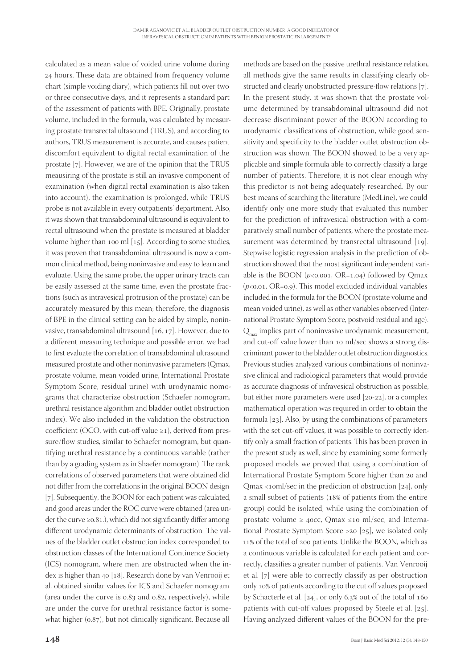calculated as a mean value of voided urine volume during 24 hours. These data are obtained from frequency volume chart (simple voiding diary), which patients fill out over two or three consecutive days, and it represents a standard part of the assessment of patients with BPE. Originally, prostate volume, included in the formula, was calculated by measuring prostate transrectal ultasound (TRUS), and according to authors, TRUS measurement is accurate, and causes patient discomfort equivalent to digital rectal examination of the prostate  $[7]$ . However, we are of the opinion that the TRUS meausiring of the prostate is still an invasive component of examination (when digital rectal examination is also taken into account), the examination is prolonged, while TRUS probe is not available in every outpatients' department. Also, it was shown that transabdominal ultrasound is equivalent to rectal ultrasound when the prostate is measured at bladder volume higher than 100 ml  $[15]$ . According to some studies, it was proven that transabdominal ultrasound is now a common clinical method, being noninvasive and easy to learn and evaluate. Using the same probe, the upper urinary tracts can be easily assessed at the same time, even the prostate fractions (such as intravesical protrusion of the prostate) can be accurately measured by this mean; therefore, the diagnosis of BPE in the clinical setting can be aided by simple, noninvasive, transabdominal ultrasound  $[16, 17]$ . However, due to a different measuring technique and possible error, we had to first evaluate the correlation of transabdominal ultrasound measured prostate and other noninvasive parameters (Qmax, prostate volume, mean voided urine, International Prostate Symptom Score, residual urine) with urodynamic nomograms that characterize obstruction (Schaefer nomogram, urethral resistance algorithm and bladder outlet obstruction index). We also included in the validation the obstruction coefficient (OCO, with cut-off value  $\geq$ 1), derived from pressure/flow studies, similar to Schaefer nomogram, but quantifying urethral resistance by a continuous variable (rather than by a grading system as in Shaefer nomogram). The rank correlations of observed parameters that were obtained did not differ from the correlations in the original BOON design [7]. Subsequently, the BOON for each patient was calculated, and good areas under the ROC curve were obtained (area under the curve  $\geq$ 0.81.), which did not significantly differ among different urodynamic determinants of obstruction. The values of the bladder outlet obstruction index corresponded to obstruction classes of the International Continence Society (ICS) nomogram, where men are obstructed when the index is higher than 40 [18]. Research done by van Venrooij et al. obtained similar values for ICS and Schaefer nomogram (area under the curve is  $0.83$  and  $0.82$ , respectively), while are under the curve for urethral resistance factor is somewhat higher (0.87), but not clinically significant. Because all

 $148$  Bosn J Basic Med Sci 2012; 12 (3): 148-150 all methods give the same results in classifying clearly obstructed and clearly unobstructed pressure-flow relations [7]. In the present study, it was shown that the prostate volume determined by transabdominal ultrasound did not decrease discriminant power of the BOON according to urodynamic classifications of obstruction, while good sensitivity and specificity to the bladder outlet obstruction obstruction was shown. The BOON showed to be a very applicable and simple formula able to correctly classify a large number of patients. Therefore, it is not clear enough why this predictor is not being adequately researched. By our best means of searching the literature (MedLine), we could identify only one more study that evaluated this number for the prediction of infravesical obstruction with a comparatively small number of patients, where the prostate measurement was determined by transrectal ultrasound  $[19]$ . Stepwise logistic regression analysis in the prediction of obstruction showed that the most significant independent variable is the BOON  $(p<0.001, \text{OR} = 1.04)$  followed by Qmax  $(p<0.01, \text{OR} = 0.9)$ . This model excluded individual variables included in the formula for the BOON (prostate volume and mean voided urine), as well as other variables observed (International Prostate Symptom Score, postvoid residual and age).  $Q_{\text{max}}$  implies part of noninvasive urodynamic measurement, and cut-off value lower than 10 ml/sec shows a strong discriminant power to the bladder outlet obstruction diagnostics. Previous studies analyzed various combinations of noninvasive clinical and radiological parameters that would provide as accurate diagnosis of infravesical obstruction as possible, but either more parameters were used  $[20-22]$ , or a complex mathematical operation was required in order to obtain the formula  $[23]$ . Also, by using the combinations of parameters with the set cut-off values, it was possible to correctly identify only a small fraction of patients. This has been proven in the present study as well, since by examining some formerly proposed models we proved that using a combination of International Prostate Symptom Score higher than 20 and Qmax <10ml/sec in the prediction of obstruction [24], only a small subset of patients (18% of patients from the entire group) could be isolated, while using the combination of prostate volume  $\geq$  40cc, Qmax ≤10 ml/sec, and International Prostate Symptom Score > 20 [25], we isolated only 11% of the total of 200 patients. Unlike the BOON, which as a continuous variable is calculated for each patient and correctly, classifies a greater number of patients. Van Venrooij et al. [7] were able to correctly classify as per obstruction only 10% of patients according to the cut off values proposed by Schacterle et al.  $[24]$ , or only 6.3% out of the total of 160 patients with cut-off values proposed by Steele et al.  $[25]$ . Having analyzed different values of the BOON for the pre-

methods are based on the passive urethral resistance relation,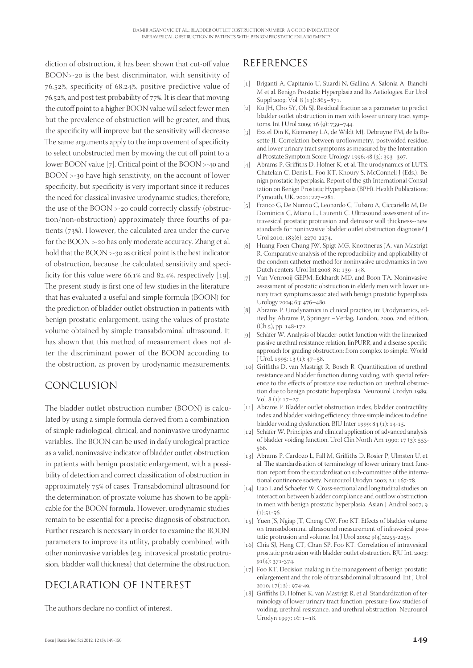diction of obstruction, it has been shown that cut-off value BOON>-20 is the best discriminator, with sensitivity of 76.52%, specificity of 68.24%, positive predictive value of 76.52%, and post test probability of 77%. It is clear that moving the cutoff point to a higher BOON value will select fewer men but the prevalence of obstruction will be greater, and thus, the specificity will improve but the sensitivity will decrease. The same arguments apply to the improvement of specificity to select unobstructed men by moving the cut off point to a lower BOON value [7]. Critical point of the BOON  $>$ -40 and  $B$ OON  $>$ -30 have high sensitivity, on the account of lower specificity, but specificity is very important since it reduces the need for classical invasive urodynamic studies; therefore, the use of the BOON >-20 could correctly classify (obstruction/non-obstruction) approximately three fourths of patients  $(73%)$ . However, the calculated area under the curve for the BOON >-20 has only moderate accuracy. Zhang et al. hold that the BOON >-30 as critical point is the best indicator of obstruction, because the calculated sensitivity and specificity for this value were  $66.1\%$  and  $82.4\%$ , respectively [19]. The present study is first one of few studies in the literature that has evaluated a useful and simple formula (BOON) for the prediction of bladder outlet obstruction in patients with benign prostatic enlargement, using the values of prostate volume obtained by simple transabdominal ultrasound. It has shown that this method of measurement does not alter the discriminant power of the BOON according to the obstruction, as proven by urodynamic measurements.

# CONCLUSION

The bladder outlet obstruction number (BOON) is calculated by using a simple formula derived from a combination of simple radiological, clinical, and noninvasive urodynamic variables. The BOON can be used in daily urological practice as a valid, noninvasive indicator of bladder outlet obstruction in patients with benign prostatic enlargement, with a possibility of detection and correct classification of obstruction in approximately 75% of cases. Transabdominal ultrasound for the determination of prostate volume has shown to be applicable for the BOON formula. However, urodynamic studies remain to be essential for a precise diagnosis of obstruction. Further research is necessary in order to examine the BOON parameters to improve its utility, probably combined with other noninvasive variables (e.g. intravesical prostatic protrusion, bladder wall thickness) that determine the obstruction.

# DECLARATION OF INTEREST

The authors declare no conflict of interest.

# REFERENCES

- [] Briganti A, Capitanio U, Suardi N, Gallina A, Salonia A, Bianchi M et al. Benign Prostatic Hyperplasia and Its Aetiologies. Eur Urol Suppl 2009; Vol. 8 (13): 865-871.
- [2] Ku JH, Cho SY, Oh SJ. Residual fraction as a parameter to predict bladder outlet obstruction in men with lower urinary tract symptoms. Int J Urol 2009; 16 (9): 739-744.
- [] Ezz el Din K, Kiemeney LA, de Wildt MJ, Debruyne FM, de la Rosette JJ. Correlation between uroflowmetry, postvoided residue, and lower urinary tract symptoms as measured by the International Prostate Symptom Score. Urology 1996; 48 (3): 393-397
- [4] Abrams P, Griffiths D, Hofner K, et al. The urodynamics of LUTS. Chatelain C, Denis L, Foo KT, Khoury S, McConnell J (Eds.). Benign prostatic hyperplasia. Report of the 5th International Consultation on Benign Prostatic Hyperplasia (BPH). Health Publications; Plymouth, UK. 2001; 227-281.
- [5] Franco G, De Nunzio C, Leonardo C, Tubaro A, Ciccariello M, De Dominicis C, Miano L, Laurenti C. Ultrasound assessment of intravesical prostatic protrusion and detrusor wall thickness--new standards for noninvasive bladder outlet obstruction diagnosis? J Urol 2010; 183(6): 2270-2274.
- [6] Huang Foen Chung JW, Spigt MG, Knottnerus JA, van Mastrigt R. Comparative analysis of the reproducibility and applicability of the condom catheter method for noninvasive urodynamics in two Dutch centers. Urol Int 2008: 81: 139-148.
- [7] Van Venrooij GEPM, Eckhardt MD, and Boon TA. Noninvasive assessment of prostatic obstruction in elderly men with lower urinary tract symptoms associated with benign prostatic hyperplasia. Urology 2004; 63: 476-480.
- [8] Abrams P. Urodynamics in clinical practice, in: Urodynamics, edited by Abrams P, Springer -Verlag, London, 2000, 2nd edition, (Ch.5), pp. 148-172.
- [9] Schäfer W. Analysis of bladder-outlet function with the linearized passive urethral resistance relation, linPURR, and a disease-specific approach for grading obstruction: from complex to simple. World  $J$  Urol. 1995; 13 (1): 47–58.
- [10] Griffiths D, van Mastrigt R, Bosch R. Quantification of urethral resistance and bladder function during voiding, with special reference to the effects of prostate size reduction on urethral obstruction due to benign prostatic hyperplasia. Neurourol Urodyn 1989; Vol.  $8(1): 17-27$
- [11] Abrams P. Bladder outlet obstruction index, bladder contractility index and bladder voiding efficiency: three simple indices to define bladder voiding dysfunction. BJU Inter 1999;  $84$  (1): 14-15.
- [12] Schäfer W. Principles and clinical application of advanced analysis of bladder voiding function. Urol Clin North Am 1990; 17 (3): 553-566.
- [13] Abrams P, Cardozo L, Fall M, Griffiths D, Rosier P, Ulmsten U, et al. The standardisation of terminology of lower urinary tract function: report from the standardisation sub-committee of the international continence society. Neurourol Urodyn 2002; 21: 167-78.
- [14] Liao L and Schaefer W. Cross-sectional and longitudinal studies on interaction between bladder compliance and outflow obstruction in men with benign prostatic hyperplasia. Asian J Androl 2007; 9  $(1):51-56$
- [15] Yuen JS, Ngiap JT, Cheng CW, Foo KT. Effects of bladder volume on transabdominal ultrasound measurement of infravesical prostatic protrusion and volume. Int J Urol 2002;  $9(4):2255-2259$ .
- [16] Chia SJ, Heng CT, Chan SP, Foo KT. Correlation of intravesical prostatic protrusion with bladder outlet obstruction. BJU Int. 2003;  $91(4): 371-374.$
- [17] Foo KT. Decision making in the management of benign prostatic enlargement and the role of transabdominal ultrasound. Int J Urol  $2010; 17(12): 974-49.$
- [18] Griffiths D, Hofner K, van Mastrigt R, et al. Standardization of terminology of lower urinary tract function: pressure-flow studies of voiding, urethral resistance, and urethral obstruction. Neurourol Urodyn 1997; 16:  $1 - 18$ .